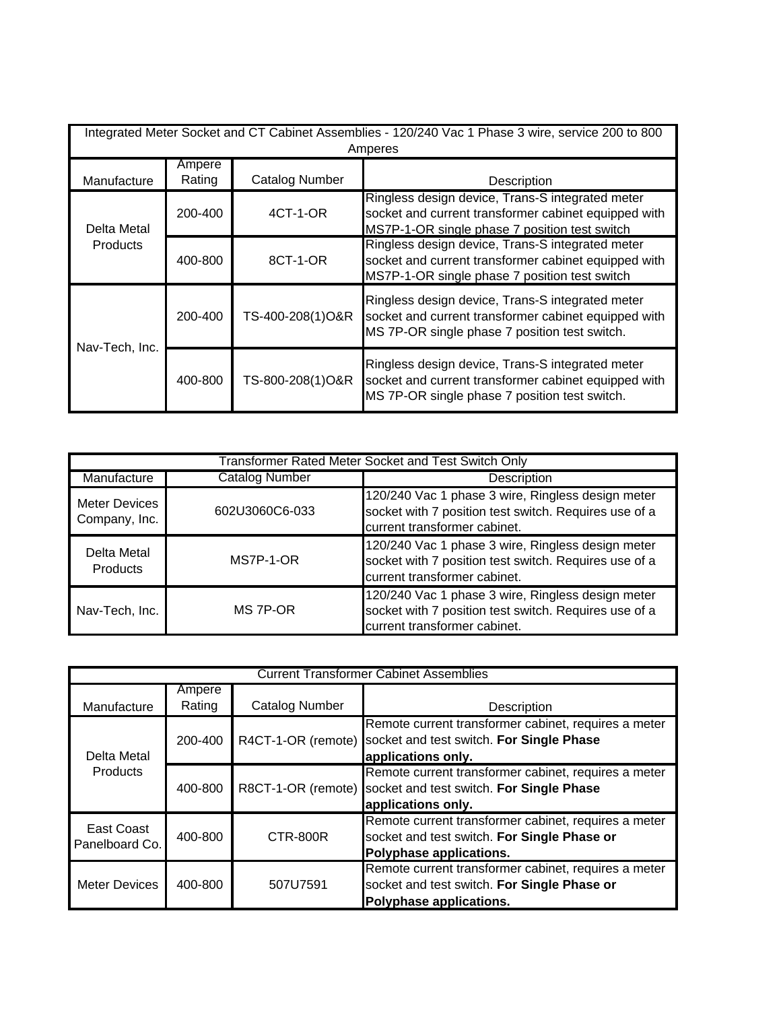| Integrated Meter Socket and CT Cabinet Assemblies - 120/240 Vac 1 Phase 3 wire, service 200 to 800<br>Amperes |                  |                       |                                                                                                                                                           |
|---------------------------------------------------------------------------------------------------------------|------------------|-----------------------|-----------------------------------------------------------------------------------------------------------------------------------------------------------|
| Manufacture                                                                                                   | Ampere<br>Rating | <b>Catalog Number</b> | Description                                                                                                                                               |
| Delta Metal<br><b>Products</b>                                                                                | 200-400          | 4CT-1-OR              | Ringless design device, Trans-S integrated meter<br>socket and current transformer cabinet equipped with<br>MS7P-1-OR single phase 7 position test switch |
|                                                                                                               | 400-800          | 8CT-1-OR              | Ringless design device, Trans-S integrated meter<br>socket and current transformer cabinet equipped with<br>MS7P-1-OR single phase 7 position test switch |
| Nav-Tech, Inc.                                                                                                | 200-400          | TS-400-208(1)O&R      | Ringless design device, Trans-S integrated meter<br>socket and current transformer cabinet equipped with<br>MS 7P-OR single phase 7 position test switch. |
|                                                                                                               | 400-800          | TS-800-208(1)O&R      | Ringless design device, Trans-S integrated meter<br>socket and current transformer cabinet equipped with<br>MS 7P-OR single phase 7 position test switch. |

| Transformer Rated Meter Socket and Test Switch Only |                       |                                                                                                                                            |  |
|-----------------------------------------------------|-----------------------|--------------------------------------------------------------------------------------------------------------------------------------------|--|
| Manufacture                                         | <b>Catalog Number</b> | Description                                                                                                                                |  |
| Meter Devices<br>Company, Inc.                      | 602U3060C6-033        | 120/240 Vac 1 phase 3 wire, Ringless design meter<br>socket with 7 position test switch. Requires use of a<br>current transformer cabinet. |  |
| Delta Metal<br><b>Products</b>                      | MS7P-1-OR             | 120/240 Vac 1 phase 3 wire, Ringless design meter<br>socket with 7 position test switch. Requires use of a<br>current transformer cabinet. |  |
| Nav-Tech, Inc.                                      | MS 7P-OR              | 120/240 Vac 1 phase 3 wire, Ringless design meter<br>socket with 7 position test switch. Requires use of a<br>current transformer cabinet. |  |

| <b>Current Transformer Cabinet Assemblies</b> |                  |                       |                                                                                                                                |
|-----------------------------------------------|------------------|-----------------------|--------------------------------------------------------------------------------------------------------------------------------|
| Manufacture                                   | Ampere<br>Rating | <b>Catalog Number</b> | Description                                                                                                                    |
| Delta Metal<br><b>Products</b>                | 200-400          | R4CT-1-OR (remote)    | Remote current transformer cabinet, requires a meter<br>socket and test switch. For Single Phase<br>applications only.         |
|                                               | 400-800          | R8CT-1-OR (remote)    | Remote current transformer cabinet, requires a meter<br>socket and test switch. For Single Phase<br>applications only.         |
| East Coast<br>Panelboard Co.                  | 400-800          | CTR-800R              | Remote current transformer cabinet, requires a meter<br>socket and test switch. For Single Phase or<br>Polyphase applications. |
| <b>Meter Devices</b>                          | 400-800          | 507U7591              | Remote current transformer cabinet, requires a meter<br>socket and test switch. For Single Phase or<br>Polyphase applications. |